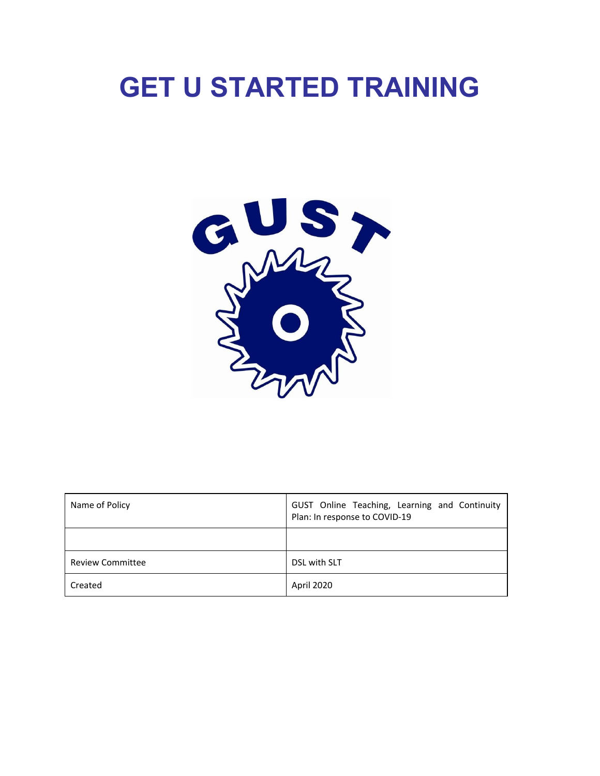# **GET U STARTED TRAINING**



| Name of Policy          | GUST Online Teaching, Learning and Continuity<br>Plan: In response to COVID-19 |
|-------------------------|--------------------------------------------------------------------------------|
|                         |                                                                                |
| <b>Review Committee</b> | DSL with SLT                                                                   |
| Created                 | April 2020                                                                     |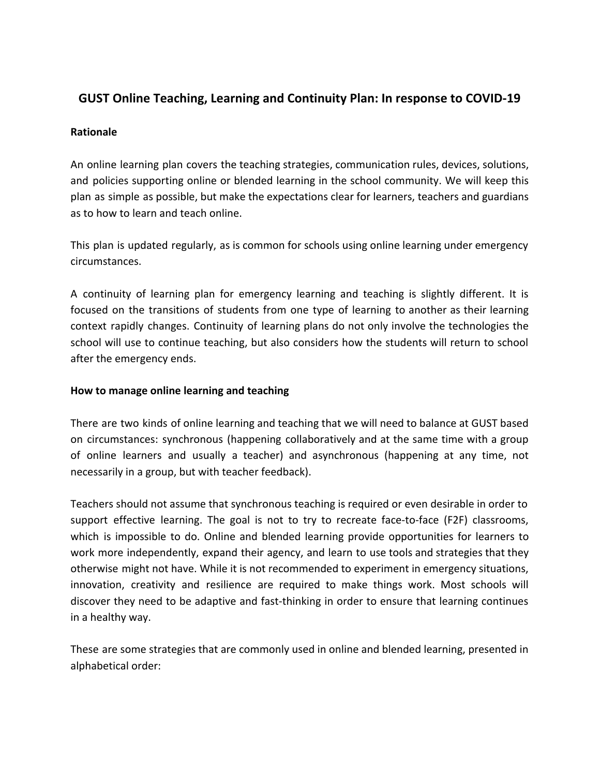# **GUST Online Teaching, Learning and Continuity Plan: In response to COVID-19**

### **Rationale**

An online learning plan covers the teaching strategies, communication rules, devices, solutions, and policies supporting online or blended learning in the school community. We will keep this plan as simple as possible, but make the expectations clear for learners, teachers and guardians as to how to learn and teach online.

This plan is updated regularly, as is common for schools using online learning under emergency circumstances.

A continuity of learning plan for emergency learning and teaching is slightly different. It is focused on the transitions of students from one type of learning to another as their learning context rapidly changes. Continuity of learning plans do not only involve the technologies the school will use to continue teaching, but also considers how the students will return to school after the emergency ends.

## **How to manage online learning and teaching**

There are two kinds of online learning and teaching that we will need to balance at GUST based on circumstances: synchronous (happening collaboratively and at the same time with a group of online learners and usually a teacher) and asynchronous (happening at any time, not necessarily in a group, but with teacher feedback).

Teachers should not assume that synchronous teaching is required or even desirable in order to support effective learning. The goal is not to try to recreate face-to-face (F2F) classrooms, which is impossible to do. Online and blended learning provide opportunities for learners to work more independently, expand their agency, and learn to use tools and strategies that they otherwise might not have. While it is not recommended to experiment in emergency situations, innovation, creativity and resilience are required to make things work. Most schools will discover they need to be adaptive and fast-thinking in order to ensure that learning continues in a healthy way.

These are some strategies that are commonly used in online and blended learning, presented in alphabetical order: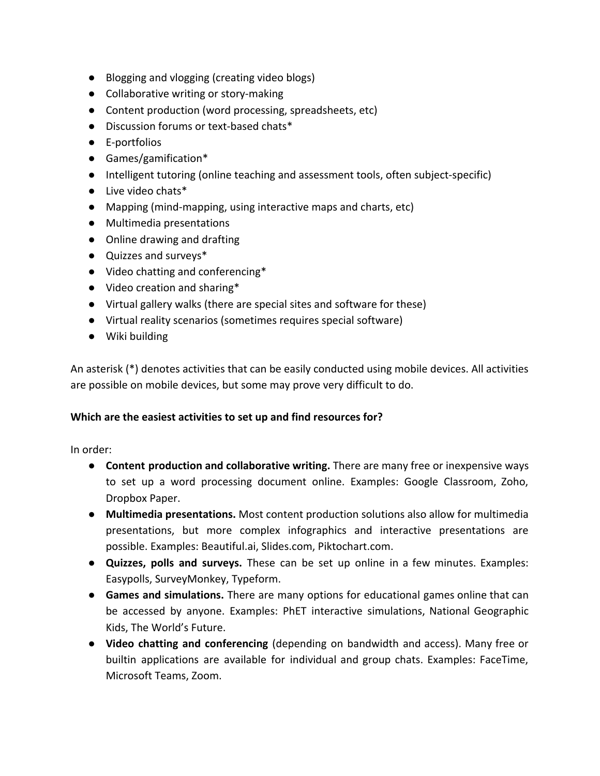- Blogging and vlogging (creating video blogs)
- Collaborative writing or story-making
- Content production (word processing, spreadsheets, etc)
- Discussion forums or text-based chats\*
- E-portfolios
- Games/gamification\*
- Intelligent tutoring (online teaching and assessment tools, often subject-specific)
- Live video chats\*
- Mapping (mind-mapping, using interactive maps and charts, etc)
- Multimedia presentations
- Online drawing and drafting
- Quizzes and surveys\*
- Video chatting and conferencing\*
- Video creation and sharing\*
- Virtual gallery walks (there are special sites and software for these)
- Virtual reality scenarios (sometimes requires special software)
- Wiki building

An asterisk (\*) denotes activities that can be easily conducted using mobile devices. All activities are possible on mobile devices, but some may prove very difficult to do.

# **Which are the easiest activities to set up and find resources for?**

In order:

- **Content production and collaborative writing.** There are many free or inexpensive ways to set up a word processing document online. Examples: Google Classroom, Zoho, Dropbox Paper.
- **Multimedia presentations.** Most content production solutions also allow for multimedia presentations, but more complex infographics and interactive presentations are possible. Examples: Beautiful.ai, Slides.com, Piktochart.com.
- **Quizzes, polls and surveys.** These can be set up online in a few minutes. Examples: Easypolls, SurveyMonkey, Typeform.
- **Games and simulations.** There are many options for educational games online that can be accessed by anyone. Examples: PhET interactive simulations, National Geographic Kids, The World's Future.
- **Video chatting and conferencing** (depending on bandwidth and access). Many free or builtin applications are available for individual and group chats. Examples: FaceTime, Microsoft Teams, Zoom.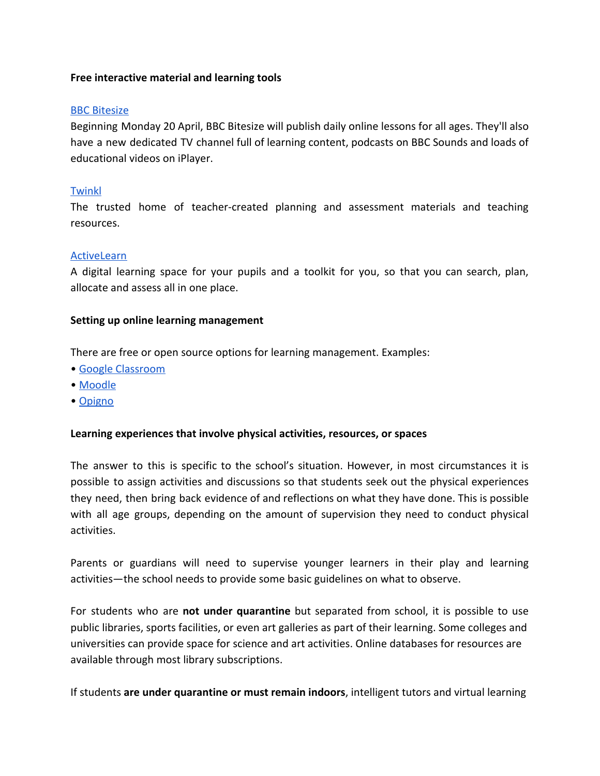#### **Free interactive material and learning tools**

### [BBC Bitesize](https://www.bbc.co.uk/bitesize)

Beginning Monday 20 April, BBC Bitesize will publish daily online lessons for all ages. They'll also have a new dedicated TV channel full of learning content, podcasts on BBC Sounds and loads of educational videos on iPlayer.

## [Twinkl](https://www.twinkl.co.uk/)

The trusted home of teacher-created planning and assessment materials and teaching resources.

#### [ActiveLearn](https://www.activelearnprimary.co.uk/)

A digital learning space for your pupils and a toolkit for you, so that you can search, plan, allocate and assess all in one place.

#### **Setting up online learning management**

There are free or open source options for learning management. Examples:

- [Google Classroom](https://classroom.google.com/)
- [Moodle](http://moodle.org/)
- [Opigno](https://www.opigno.org/en)

#### **Learning experiences that involve physical activities, resources, or spaces**

The answer to this is specific to the school's situation. However, in most circumstances it is possible to assign activities and discussions so that students seek out the physical experiences they need, then bring back evidence of and reflections on what they have done. This is possible with all age groups, depending on the amount of supervision they need to conduct physical activities.

Parents or guardians will need to supervise younger learners in their play and learning activities—the school needs to provide some basic guidelines on what to observe.

For students who are **not under quarantine** but separated from school, it is possible to use public libraries, sports facilities, or even art galleries as part of their learning. Some colleges and universities can provide space for science and art activities. Online databases for resources are available through most library subscriptions.

If students **are under quarantine or must remain indoors**, intelligent tutors and virtual learning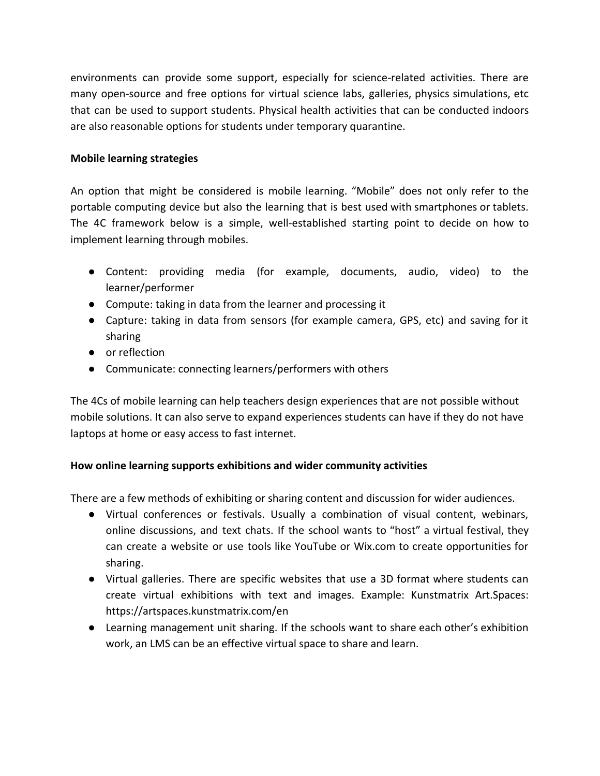environments can provide some support, especially for science-related activities. There are many open-source and free options for virtual science labs, galleries, physics simulations, etc that can be used to support students. Physical health activities that can be conducted indoors are also reasonable options for students under temporary quarantine.

## **Mobile learning strategies**

An option that might be considered is mobile learning. "Mobile" does not only refer to the portable computing device but also the learning that is best used with smartphones or tablets. The 4C framework below is a simple, well-established starting point to decide on how to implement learning through mobiles.

- Content: providing media (for example, documents, audio, video) to the learner/performer
- Compute: taking in data from the learner and processing it
- Capture: taking in data from sensors (for example camera, GPS, etc) and saving for it sharing
- or reflection
- Communicate: connecting learners/performers with others

The 4Cs of mobile learning can help teachers design experiences that are not possible without mobile solutions. It can also serve to expand experiences students can have if they do not have laptops at home or easy access to fast internet.

# **How online learning supports exhibitions and wider community activities**

There are a few methods of exhibiting or sharing content and discussion for wider audiences.

- Virtual conferences or festivals. Usually a combination of visual content, webinars, online discussions, and text chats. If the school wants to "host" a virtual festival, they can create a website or use tools like YouTube or Wix.com to create opportunities for sharing.
- Virtual galleries. There are specific websites that use a 3D format where students can create virtual exhibitions with text and images. Example: Kunstmatrix Art.Spaces: https://artspaces.kunstmatrix.com/en
- Learning management unit sharing. If the schools want to share each other's exhibition work, an LMS can be an effective virtual space to share and learn.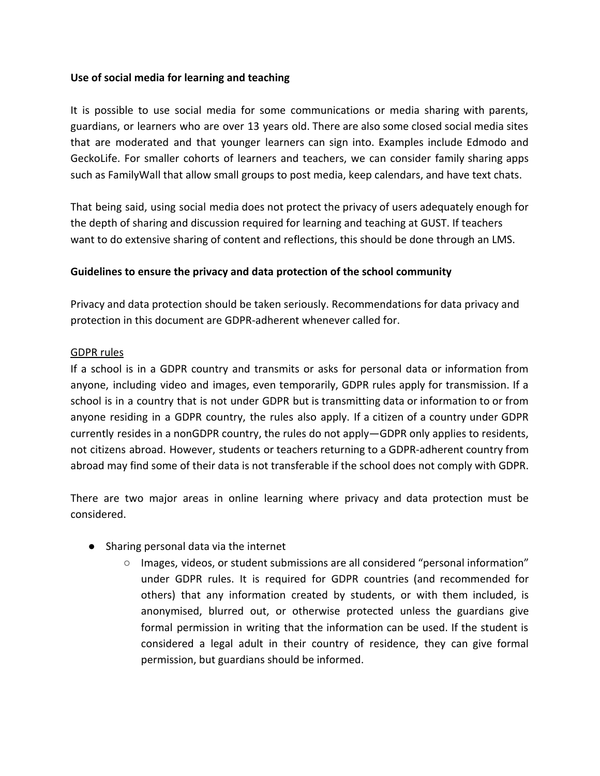#### **Use of social media for learning and teaching**

It is possible to use social media for some communications or media sharing with parents, guardians, or learners who are over 13 years old. There are also some closed social media sites that are moderated and that younger learners can sign into. Examples include Edmodo and GeckoLife. For smaller cohorts of learners and teachers, we can consider family sharing apps such as FamilyWall that allow small groups to post media, keep calendars, and have text chats.

That being said, using social media does not protect the privacy of users adequately enough for the depth of sharing and discussion required for learning and teaching at GUST. If teachers want to do extensive sharing of content and reflections, this should be done through an LMS.

# **Guidelines to ensure the privacy and data protection of the school community**

Privacy and data protection should be taken seriously. Recommendations for data privacy and protection in this document are GDPR-adherent whenever called for.

### GDPR rules

If a school is in a GDPR country and transmits or asks for personal data or information from anyone, including video and images, even temporarily, GDPR rules apply for transmission. If a school is in a country that is not under GDPR but is transmitting data or information to or from anyone residing in a GDPR country, the rules also apply. If a citizen of a country under GDPR currently resides in a nonGDPR country, the rules do not apply—GDPR only applies to residents, not citizens abroad. However, students or teachers returning to a GDPR-adherent country from abroad may find some of their data is not transferable if the school does not comply with GDPR.

There are two major areas in online learning where privacy and data protection must be considered.

- Sharing personal data via the internet
	- Images, videos, or student submissions are all considered "personal information" under GDPR rules. It is required for GDPR countries (and recommended for others) that any information created by students, or with them included, is anonymised, blurred out, or otherwise protected unless the guardians give formal permission in writing that the information can be used. If the student is considered a legal adult in their country of residence, they can give formal permission, but guardians should be informed.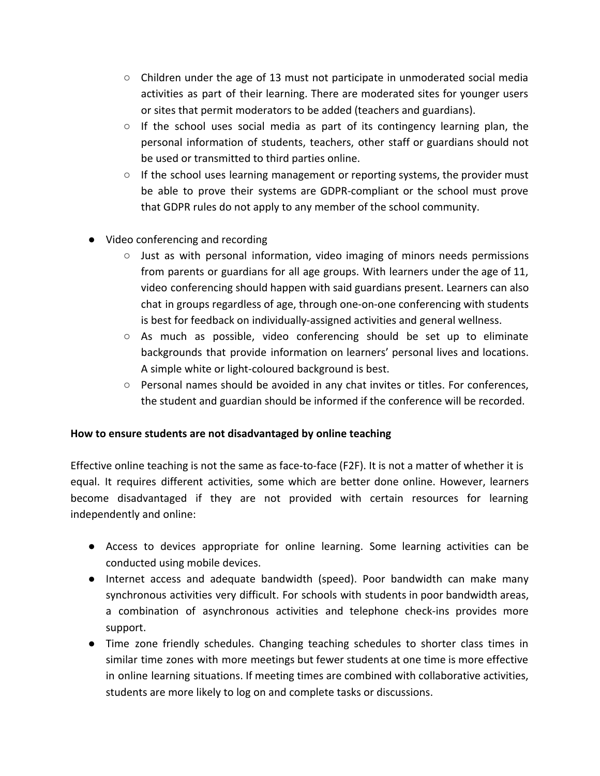- Children under the age of 13 must not participate in unmoderated social media activities as part of their learning. There are moderated sites for younger users or sites that permit moderators to be added (teachers and guardians).
- $\circ$  If the school uses social media as part of its contingency learning plan, the personal information of students, teachers, other staff or guardians should not be used or transmitted to third parties online.
- $\circ$  If the school uses learning management or reporting systems, the provider must be able to prove their systems are GDPR-compliant or the school must prove that GDPR rules do not apply to any member of the school community.
- Video conferencing and recording
	- $\circ$  Just as with personal information, video imaging of minors needs permissions from parents or guardians for all age groups. With learners under the age of 11, video conferencing should happen with said guardians present. Learners can also chat in groups regardless of age, through one-on-one conferencing with students is best for feedback on individually-assigned activities and general wellness.
	- As much as possible, video conferencing should be set up to eliminate backgrounds that provide information on learners' personal lives and locations. A simple white or light-coloured background is best.
	- Personal names should be avoided in any chat invites or titles. For conferences, the student and guardian should be informed if the conference will be recorded.

# **How to ensure students are not disadvantaged by online teaching**

Effective online teaching is not the same as face-to-face (F2F). It is not a matter of whether it is equal. It requires different activities, some which are better done online. However, learners become disadvantaged if they are not provided with certain resources for learning independently and online:

- Access to devices appropriate for online learning. Some learning activities can be conducted using mobile devices.
- Internet access and adequate bandwidth (speed). Poor bandwidth can make many synchronous activities very difficult. For schools with students in poor bandwidth areas, a combination of asynchronous activities and telephone check-ins provides more support.
- Time zone friendly schedules. Changing teaching schedules to shorter class times in similar time zones with more meetings but fewer students at one time is more effective in online learning situations. If meeting times are combined with collaborative activities, students are more likely to log on and complete tasks or discussions.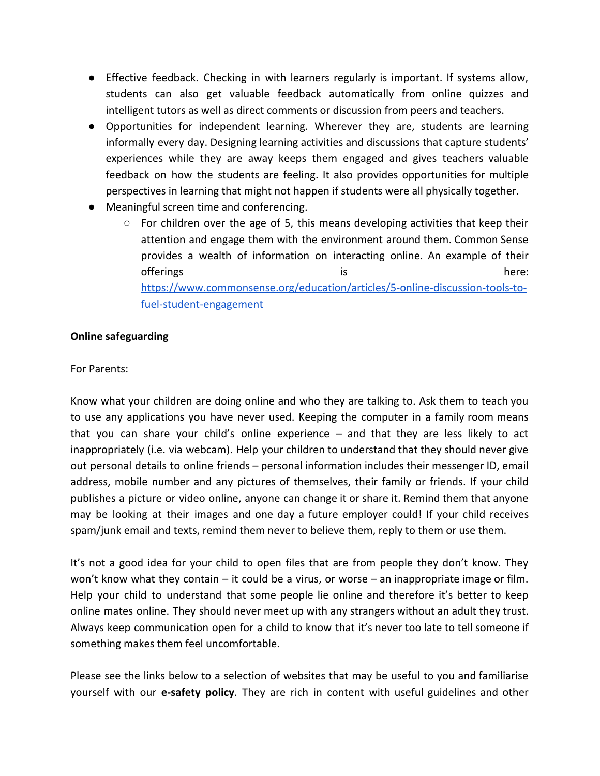- Effective feedback. Checking in with learners regularly is important. If systems allow, students can also get valuable feedback automatically from online quizzes and intelligent tutors as well as direct comments or discussion from peers and teachers.
- Opportunities for independent learning. Wherever they are, students are learning informally every day. Designing learning activities and discussions that capture students' experiences while they are away keeps them engaged and gives teachers valuable feedback on how the students are feeling. It also provides opportunities for multiple perspectives in learning that might not happen if students were all physically together.
- Meaningful screen time and conferencing.
	- For children over the age of 5, this means developing activities that keep their attention and engage them with the environment around them. Common Sense provides a wealth of information on interacting online. An example of their offerings is here: [https://www.commonsense.org/education/articles/5-online-discussion-tools-to](https://www.commonsense.org/education/articles/5-online-discussion-tools-to-fuel-student-engagement)[fuel-student-engagement](https://www.commonsense.org/education/articles/5-online-discussion-tools-to-fuel-student-engagement)

### **Online safeguarding**

#### For Parents:

Know what your children are doing online and who they are talking to. Ask them to teach you to use any applications you have never used. Keeping the computer in a family room means that you can share your child's online experience – and that they are less likely to act inappropriately (i.e. via webcam). Help your children to understand that they should never give out personal details to online friends – personal information includes their messenger ID, email address, mobile number and any pictures of themselves, their family or friends. If your child publishes a picture or video online, anyone can change it or share it. Remind them that anyone may be looking at their images and one day a future employer could! If your child receives spam/junk email and texts, remind them never to believe them, reply to them or use them.

It's not a good idea for your child to open files that are from people they don't know. They won't know what they contain – it could be a virus, or worse – an inappropriate image or film. Help your child to understand that some people lie online and therefore it's better to keep online mates online. They should never meet up with any strangers without an adult they trust. Always keep communication open for a child to know that it's never too late to tell someone if something makes them feel uncomfortable.

Please see the links below to a selection of websites that may be useful to you and familiarise yourself with our **e-safety policy**. They are rich in content with useful guidelines and other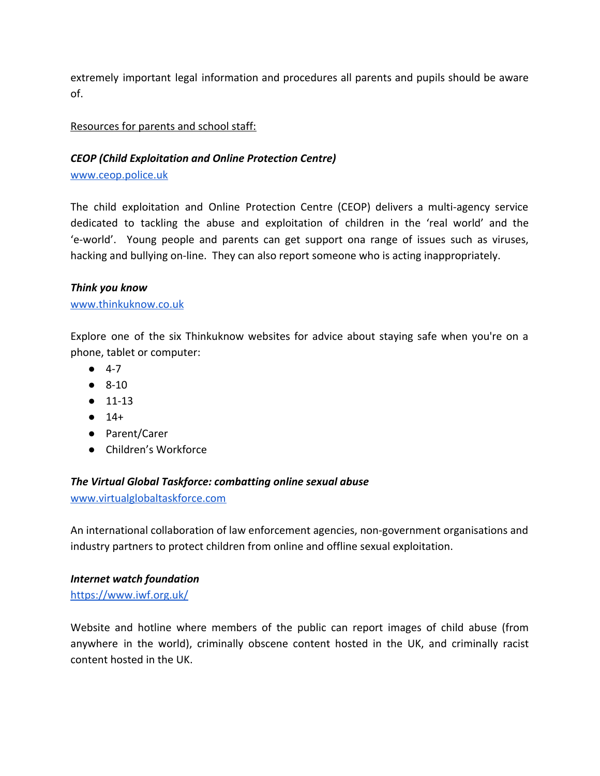extremely important legal information and procedures all parents and pupils should be aware of.

# Resources for parents and school staff:

# *CEOP (Child Exploitation and Online Protection Centre)*

[www.ceop.police.uk](http://www.ceop.police.uk/)

The child exploitation and Online Protection Centre (CEOP) delivers a multi-agency service dedicated to tackling the abuse and exploitation of children in the 'real world' and the 'e-world'. Young people and parents can get support ona range of issues such as viruses, hacking and bullying on-line. They can also report someone who is acting inappropriately.

### *Think you know*

### [www.thinkuknow.co.uk](http://www.thinkuknow.co.uk/)

Explore one of the six Thinkuknow websites for advice about staying safe when you're on a phone, tablet or computer:

- $-4-7$
- $\bullet$  8-10
- 11-13
- $14+$
- Parent/Carer
- Children's Workforce

# *The Virtual Global Taskforce: combatting online sexual abuse*

[www.virtualglobaltaskforce.com](http://www.virtualglobaltaskforce.com/)

An international collaboration of law enforcement agencies, non-government organisations and industry partners to protect children from online and offline sexual exploitation.

#### *Internet watch foundation*

<https://www.iwf.org.uk/>

Website and hotline where members of the public can report images of child abuse (from anywhere in the world), criminally obscene content hosted in the UK, and criminally racist content hosted in the UK.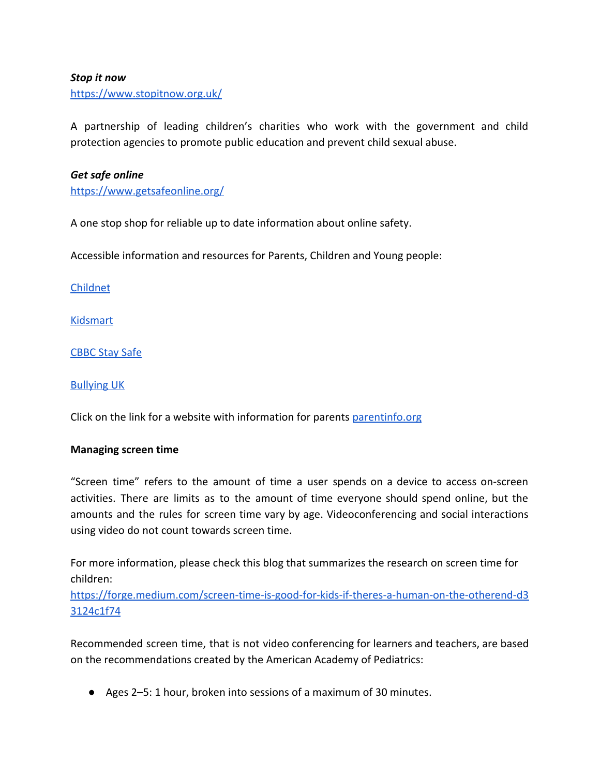#### *Stop it now*

<https://www.stopitnow.org.uk/>

A partnership of leading children's charities who work with the government and child protection agencies to promote public education and prevent child sexual abuse.

#### *Get safe online*

<https://www.getsafeonline.org/>

A one stop shop for reliable up to date information about online safety.

Accessible information and resources for Parents, Children and Young people:

[Childnet](http://www.childnet.com/)

[Kidsmart](http://www.kidsmart.org.uk/)

[CBBC Stay Safe](http://www.bbc.co.uk/cbbc/curations/stay-safe)

[Bullying UK](http://www.bullying.co.uk/)

Click on the link for a website with information for parents [parentinfo.org](https://parentinfo.org/)

#### **Managing screen time**

"Screen time" refers to the amount of time a user spends on a device to access on-screen activities. There are limits as to the amount of time everyone should spend online, but the amounts and the rules for screen time vary by age. Videoconferencing and social interactions using video do not count towards screen time.

For more information, please check this blog that summarizes the research on screen time for children:

[https://forge.medium.com/screen-time-is-good-for-kids-if-theres-a-human-on-the-otherend-d3](https://forge.medium.com/screen-time-is-good-for-kids-if-theres-a-human-on-the-otherend-d33124c1f74) [3124c1f74](https://forge.medium.com/screen-time-is-good-for-kids-if-theres-a-human-on-the-otherend-d33124c1f74)

Recommended screen time, that is not video conferencing for learners and teachers, are based on the recommendations created by the American Academy of Pediatrics:

● Ages 2–5: 1 hour, broken into sessions of a maximum of 30 minutes.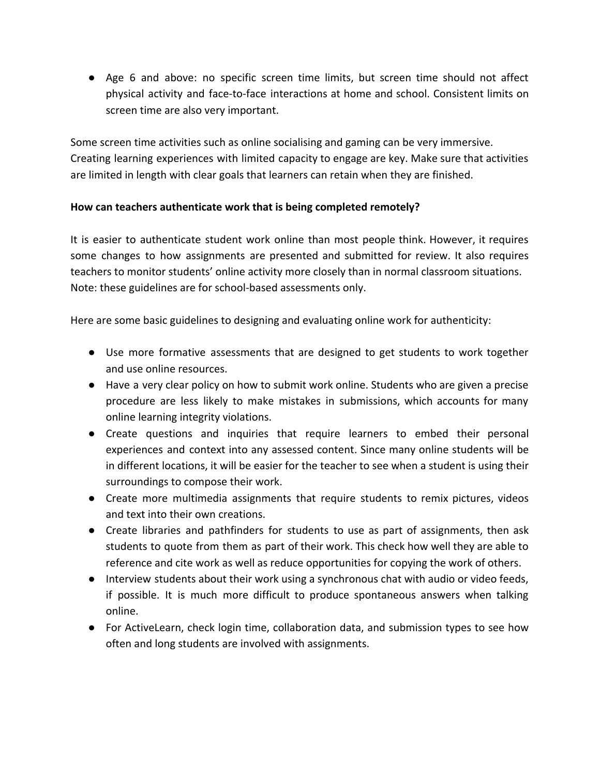● Age 6 and above: no specific screen time limits, but screen time should not affect physical activity and face-to-face interactions at home and school. Consistent limits on screen time are also very important.

Some screen time activities such as online socialising and gaming can be very immersive. Creating learning experiences with limited capacity to engage are key. Make sure that activities are limited in length with clear goals that learners can retain when they are finished.

# **How can teachers authenticate work that is being completed remotely?**

It is easier to authenticate student work online than most people think. However, it requires some changes to how assignments are presented and submitted for review. It also requires teachers to monitor students' online activity more closely than in normal classroom situations. Note: these guidelines are for school-based assessments only.

Here are some basic guidelines to designing and evaluating online work for authenticity:

- Use more formative assessments that are designed to get students to work together and use online resources.
- Have a very clear policy on how to submit work online. Students who are given a precise procedure are less likely to make mistakes in submissions, which accounts for many online learning integrity violations.
- Create questions and inquiries that require learners to embed their personal experiences and context into any assessed content. Since many online students will be in different locations, it will be easier for the teacher to see when a student is using their surroundings to compose their work.
- Create more multimedia assignments that require students to remix pictures, videos and text into their own creations.
- Create libraries and pathfinders for students to use as part of assignments, then ask students to quote from them as part of their work. This check how well they are able to reference and cite work as well as reduce opportunities for copying the work of others.
- Interview students about their work using a synchronous chat with audio or video feeds, if possible. It is much more difficult to produce spontaneous answers when talking online.
- For ActiveLearn, check login time, collaboration data, and submission types to see how often and long students are involved with assignments.